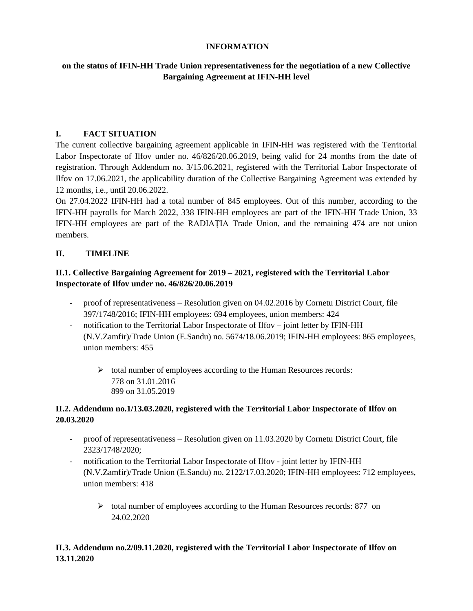### **INFORMATION**

### **on the status of IFIN-HH Trade Union representativeness for the negotiation of a new Collective Bargaining Agreement at IFIN-HH level**

### **I. FACT SITUATION**

The current collective bargaining agreement applicable in IFIN-HH was registered with the Territorial Labor Inspectorate of Ilfov under no. 46/826/20.06.2019, being valid for 24 months from the date of registration. Through Addendum no. 3/15.06.2021, registered with the Territorial Labor Inspectorate of Ilfov on 17.06.2021, the applicability duration of the Collective Bargaining Agreement was extended by 12 months, i.e., until 20.06.2022.

On 27.04.2022 IFIN-HH had a total number of 845 employees. Out of this number, according to the IFIN-HH payrolls for March 2022, 338 IFIN-HH employees are part of the IFIN-HH Trade Union, 33 IFIN-HH employees are part of the RADIAȚIA Trade Union, and the remaining 474 are not union members.

### **II. TIMELINE**

### **II.1. Collective Bargaining Agreement for 2019 – 2021, registered with the Territorial Labor Inspectorate of Ilfov under no. 46/826/20.06.2019**

- proof of representativeness Resolution given on 04.02.2016 by Cornetu District Court, file 397/1748/2016; IFIN-HH employees: 694 employees, union members: 424
- notification to the Territorial Labor Inspectorate of Ilfov joint letter by IFIN-HH (N.V.Zamfir)/Trade Union (E.Sandu) no. 5674/18.06.2019; IFIN-HH employees: 865 employees, union members: 455
	- ➢ total number of employees according to the Human Resources records: 778 on 31.01.2016 899 on 31.05.2019

### **II.2. Addendum no.1/13.03.2020, registered with the Territorial Labor Inspectorate of Ilfov on 20.03.2020**

- proof of representativeness Resolution given on 11.03.2020 by Cornetu District Court, file 2323/1748/2020;
- notification to the Territorial Labor Inspectorate of Ilfov joint letter by IFIN-HH (N.V.Zamfir)/Trade Union (E.Sandu) no. 2122/17.03.2020; IFIN-HH employees: 712 employees, union members: 418
	- ➢ total number of employees according to the Human Resources records: 877 on 24.02.2020

# **II.3. Addendum no.2/09.11.2020, registered with the Territorial Labor Inspectorate of Ilfov on 13.11.2020**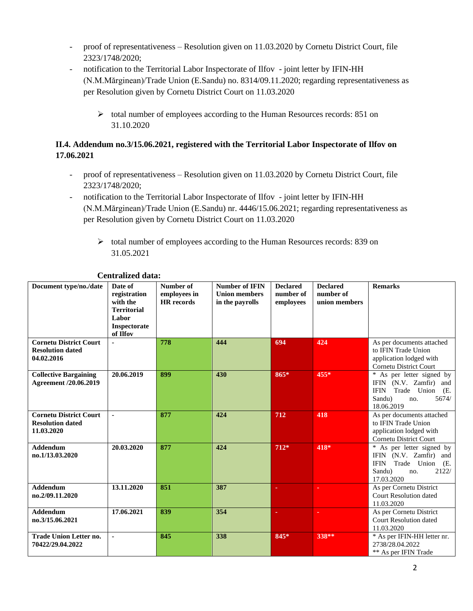- proof of representativeness Resolution given on 11.03.2020 by Cornetu District Court, file 2323/1748/2020;
- notification to the Territorial Labor Inspectorate of Ilfov joint letter by IFIN-HH (N.M.Mărginean)/Trade Union (E.Sandu) no. 8314/09.11.2020; regarding representativeness as per Resolution given by Cornetu District Court on 11.03.2020
	- ➢ total number of employees according to the Human Resources records: 851 on 31.10.2020

# **II.4. Addendum no.3/15.06.2021, registered with the Territorial Labor Inspectorate of Ilfov on 17.06.2021**

- proof of representativeness Resolution given on 11.03.2020 by Cornetu District Court, file 2323/1748/2020;
- notification to the Territorial Labor Inspectorate of Ilfov joint letter by IFIN-HH (N.M.Mărginean)/Trade Union (E.Sandu) nr. 4446/15.06.2021; regarding representativeness as per Resolution given by Cornetu District Court on 11.03.2020
	- ➢ total number of employees according to the Human Resources records: 839 on 31.05.2021

| Document type/no./date                                                 | Date of<br>registration<br>with the<br><b>Territorial</b><br>Labor<br>Inspectorate<br>of Ilfov | Number of<br>employees in<br><b>HR</b> records | <b>Number of IFIN</b><br><b>Union members</b><br>in the payrolls | <b>Declared</b><br>number of<br>employees | <b>Declared</b><br>number of<br>union members | <b>Remarks</b>                                                                                                                   |
|------------------------------------------------------------------------|------------------------------------------------------------------------------------------------|------------------------------------------------|------------------------------------------------------------------|-------------------------------------------|-----------------------------------------------|----------------------------------------------------------------------------------------------------------------------------------|
| <b>Cornetu District Court</b><br><b>Resolution dated</b><br>04.02.2016 |                                                                                                | 778                                            | 444                                                              | 694                                       | 424                                           | As per documents attached<br>to IFIN Trade Union<br>application lodged with<br><b>Cornetu District Court</b>                     |
| <b>Collective Bargaining</b><br>Agreement /20.06.2019                  | 20.06.2019                                                                                     | 899                                            | 430                                                              | 865*                                      | 455*                                          | * As per letter signed by<br>IFIN (N.V. Zamfir) and<br>Trade Union<br><b>IFIN</b><br>(E.<br>Sandu)<br>5674/<br>no.<br>18.06.2019 |
| <b>Cornetu District Court</b><br><b>Resolution dated</b><br>11.03.2020 |                                                                                                | 877                                            | 424                                                              | 712                                       | 418                                           | As per documents attached<br>to IFIN Trade Union<br>application lodged with<br>Cornetu District Court                            |
| <b>Addendum</b><br>no.1/13.03.2020                                     | 20.03.2020                                                                                     | 877                                            | 424                                                              | $712*$                                    | 418*                                          | * As per letter signed by<br>IFIN (N.V. Zamfir) and<br>Trade Union<br><b>IFIN</b><br>(E.<br>Sandu)<br>2122/<br>no.<br>17.03.2020 |
| <b>Addendum</b><br>no.2/09.11.2020                                     | 13.11.2020                                                                                     | 851                                            | 387                                                              |                                           | ٠                                             | As per Cornetu District<br><b>Court Resolution dated</b><br>11.03.2020                                                           |
| <b>Addendum</b><br>no.3/15.06.2021                                     | 17.06.2021                                                                                     | 839                                            | 354                                                              |                                           | ٠                                             | As per Cornetu District<br>Court Resolution dated<br>11.03.2020                                                                  |
| <b>Trade Union Letter no.</b><br>70422/29.04.2022                      |                                                                                                | 845                                            | 338                                                              | 845*                                      | 338**                                         | * As per IFIN-HH letter nr.<br>2738/28.04.2022<br>** As per IFIN Trade                                                           |

# **Centralized data:**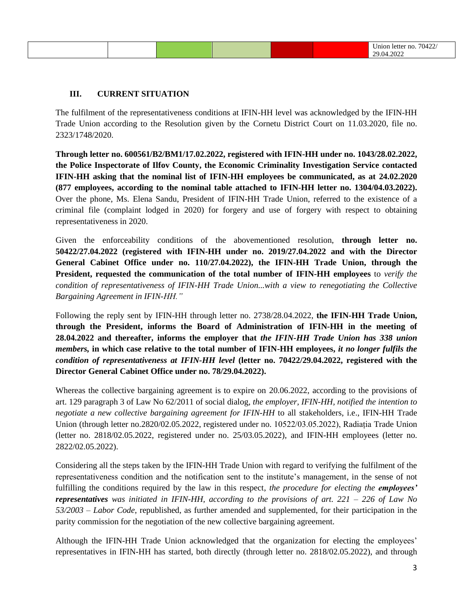#### **III. CURRENT SITUATION**

The fulfilment of the representativeness conditions at IFIN-HH level was acknowledged by the IFIN-HH Trade Union according to the Resolution given by the Cornetu District Court on 11.03.2020, file no. 2323/1748/2020.

**Through letter no. 600561/B2/BM1/17.02.2022, registered with IFIN-HH under no. 1043/28.02.2022, the Police Inspectorate of Ilfov County, the Economic Criminality Investigation Service contacted IFIN-HH asking that the nominal list of IFIN-HH employees be communicated, as at 24.02.2020 (877 employees, according to the nominal table attached to IFIN-HH letter no. 1304/04.03.2022).**  Over the phone, Ms. Elena Sandu, President of IFIN-HH Trade Union, referred to the existence of a criminal file (complaint lodged in 2020) for forgery and use of forgery with respect to obtaining representativeness in 2020.

Given the enforceability conditions of the abovementioned resolution, **through letter no. 50422/27.04.2022 (registered with IFIN-HH under no. 2019/27.04.2022 and with the Director General Cabinet Office under no. 110/27.04.2022), the IFIN-HH Trade Union, through the President, requested the communication of the total number of IFIN-HH employees** to *verify the condition of representativeness of IFIN-HH Trade Union...with a view to renegotiating the Collective Bargaining Agreement in IFIN-HH."*

Following the reply sent by IFIN-HH through letter no. 2738/28.04.2022, **the IFIN-HH Trade Union, through the President, informs the Board of Administration of IFIN-HH in the meeting of 28.04.2022 and thereafter, informs the employer that** *the IFIN-HH Trade Union has 338 union members,* **in which case relative to the total number of IFIN-HH employees,** *it no longer fulfils the condition of representativeness at IFIN-HH level* **(letter no. 70422/29.04.2022, registered with the Director General Cabinet Office under no. 78/29.04.2022).**

Whereas the collective bargaining agreement is to expire on 20.06.2022, according to the provisions of art. 129 paragraph 3 of Law No 62/2011 of social dialog, *the employer, IFIN-HH, notified the intention to negotiate a new collective bargaining agreement for IFIN-HH* to all stakeholders, i.e., IFIN-HH Trade Union (through letter no.2820/02.05.2022, registered under no. 10522/03.05.2022), Radiația Trade Union (letter no. 2818/02.05.2022, registered under no. 25/03.05.2022), and IFIN-HH employees (letter no. 2822/02.05.2022).

Considering all the steps taken by the IFIN-HH Trade Union with regard to verifying the fulfilment of the representativeness condition and the notification sent to the institute's management, in the sense of not fulfilling the conditions required by the law in this respect, *the procedure for electing the employees' representatives was initiated in IFIN-HH, according to the provisions of art. 221 – 226 of Law No 53/2003 – Labor Code*, republished, as further amended and supplemented, for their participation in the parity commission for the negotiation of the new collective bargaining agreement.

Although the IFIN-HH Trade Union acknowledged that the organization for electing the employees' representatives in IFIN-HH has started, both directly (through letter no. 2818/02.05.2022), and through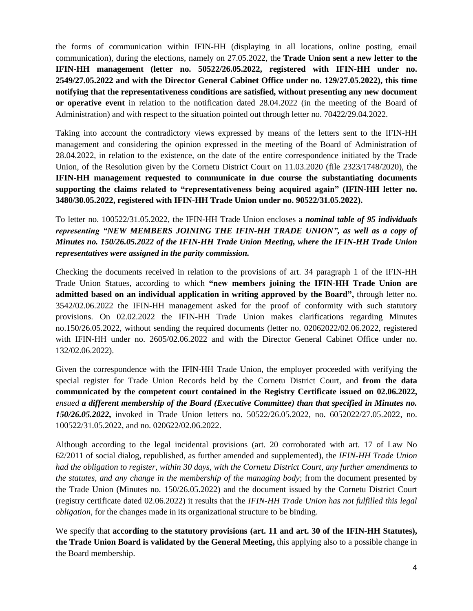the forms of communication within IFIN-HH (displaying in all locations, online posting, email communication), during the elections, namely on 27.05.2022, the **Trade Union sent a new letter to the IFIN-HH management (letter no. 50522/26.05.2022, registered with IFIN-HH under no. 2549/27.05.2022 and with the Director General Cabinet Office under no. 129/27.05.2022), this time notifying that the representativeness conditions are satisfied, without presenting any new document or operative event** in relation to the notification dated 28.04.2022 (in the meeting of the Board of Administration) and with respect to the situation pointed out through letter no. 70422/29.04.2022.

Taking into account the contradictory views expressed by means of the letters sent to the IFIN-HH management and considering the opinion expressed in the meeting of the Board of Administration of 28.04.2022, in relation to the existence, on the date of the entire correspondence initiated by the Trade Union, of the Resolution given by the Cornetu District Court on 11.03.2020 (file 2323/1748/2020), the **IFIN-HH management requested to communicate in due course the substantiating documents supporting the claims related to "representativeness being acquired again" (IFIN-HH letter no. 3480/30.05.2022, registered with IFIN-HH Trade Union under no. 90522/31.05.2022).** 

To letter no. 100522/31.05.2022, the IFIN-HH Trade Union encloses a *nominal table of 95 individuals representing "NEW MEMBERS JOINING THE IFIN-HH TRADE UNION", as well as a copy of Minutes no. 150/26.05.2022 of the IFIN-HH Trade Union Meeting, where the IFIN-HH Trade Union representatives were assigned in the parity commission.*

Checking the documents received in relation to the provisions of art. 34 paragraph 1 of the IFIN-HH Trade Union Statues, according to which **"new members joining the IFIN-HH Trade Union are admitted based on an individual application in writing approved by the Board",** through letter no. 3542/02.06.2022 the IFIN-HH management asked for the proof of conformity with such statutory provisions. On 02.02.2022 the IFIN-HH Trade Union makes clarifications regarding Minutes no.150/26.05.2022, without sending the required documents (letter no. 02062022/02.06.2022, registered with IFIN-HH under no. 2605/02.06.2022 and with the Director General Cabinet Office under no. 132/02.06.2022).

Given the correspondence with the IFIN-HH Trade Union, the employer proceeded with verifying the special register for Trade Union Records held by the Cornetu District Court, and **from the data communicated by the competent court contained in the Registry Certificate issued on 02.06.2022,**  *ensued a different membership of the Board (Executive Committee) than that specified in Minutes no. 150/26.05.2022***,** invoked in Trade Union letters no. 50522/26.05.2022, no. 6052022/27.05.2022, no. 100522/31.05.2022, and no. 020622/02.06.2022.

Although according to the legal incidental provisions (art. 20 corroborated with art. 17 of Law No 62/2011 of social dialog, republished, as further amended and supplemented), the *IFIN-HH Trade Union had the obligation to register, within 30 days, with the Cornetu District Court, any further amendments to the statutes, and any change in the membership of the managing body*; from the document presented by the Trade Union (Minutes no. 150/26.05.2022) and the document issued by the Cornetu District Court (registry certificate dated 02.06.2022) it results that the *IFIN-HH Trade Union has not fulfilled this legal obligation*, for the changes made in its organizational structure to be binding.

We specify that **according to the statutory provisions (art. 11 and art. 30 of the IFIN-HH Statutes), the Trade Union Board is validated by the General Meeting,** this applying also to a possible change in the Board membership.